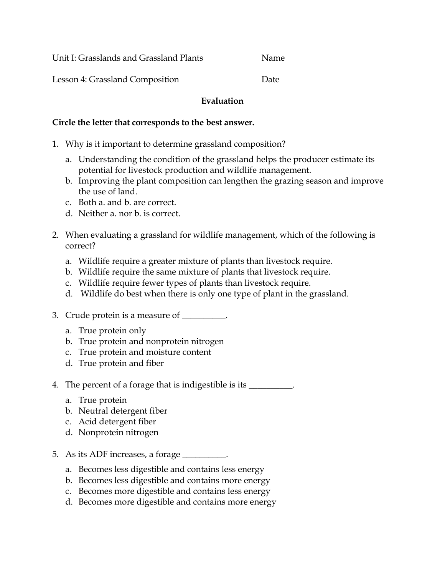Unit I: Grasslands and Grassland Plants

Lesson 4: Grassland Composition D

| )ate |  |  |  |  |
|------|--|--|--|--|
|      |  |  |  |  |

## **Evaluation**

## **Circle the letter that corresponds to the best answer.**

- 1. Why is it important to determine grassland composition?
	- a. Understanding the condition of the grassland helps the producer estimate its potential for livestock production and wildlife management.
	- b. Improving the plant composition can lengthen the grazing season and improve the use of land.
	- c. Both a. and b. are correct.
	- d. Neither a. nor b. is correct.
- 2. When evaluating a grassland for wildlife management, which of the following is correct?
	- a. Wildlife require a greater mixture of plants than livestock require.
	- b. Wildlife require the same mixture of plants that livestock require.
	- c. Wildlife require fewer types of plants than livestock require.
	- d. Wildlife do best when there is only one type of plant in the grassland.
- 3. Crude protein is a measure of \_\_\_\_\_\_\_\_\_.
	- a. True protein only
	- b. True protein and nonprotein nitrogen
	- c. True protein and moisture content
	- d. True protein and fiber
- 4. The percent of a forage that is indigestible is its \_\_\_\_\_\_\_\_\_.
	- a. True protein
	- b. Neutral detergent fiber
	- c. Acid detergent fiber
	- d. Nonprotein nitrogen
- 5. As its ADF increases, a forage \_\_\_\_\_\_\_\_\_\_.
	- a. Becomes less digestible and contains less energy
	- b. Becomes less digestible and contains more energy
	- c. Becomes more digestible and contains less energy
	- d. Becomes more digestible and contains more energy